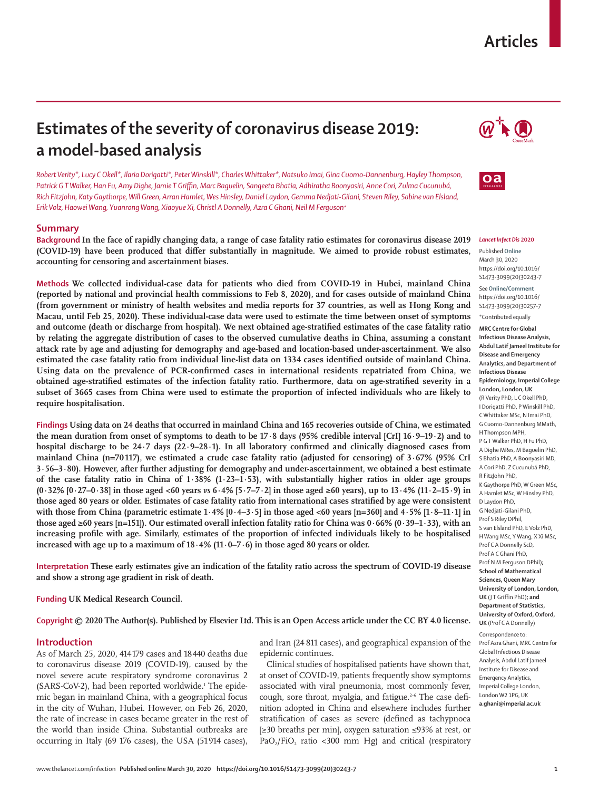# **Articles**

# **Estimates of the severity of coronavirus disease 2019: a model-based analysis**

*Robert Verity\*, Lucy C Okell\*, Ilaria Dorigatti\*, Peter Winskill\*, Charles Whittaker\*, Natsuko Imai, Gina Cuomo-Dannenburg, Hayley Thompson, Patrick G T Walker, Han Fu, Amy Dighe, Jamie T Griffin, Marc Baguelin, Sangeeta Bhatia, Adhiratha Boonyasiri, Anne Cori, Zulma Cucunubá, Rich FitzJohn, Katy Gaythorpe, Will Green, Arran Hamlet, Wes Hinsley, Daniel Laydon, Gemma Nedjati-Gilani, Steven Riley, Sabine van Elsland, Erik Volz, Haowei Wang, Yuanrong Wang, Xiaoyue Xi, Christl A Donnelly, Azra C Ghani, Neil M Ferguson*\*

## **Summary**

**Background In the face of rapidly changing data, a range of case fatality ratio estimates for coronavirus disease 2019 (COVID-19) have been produced that differ substantially in magnitude. We aimed to provide robust estimates, accounting for censoring and ascertainment biases.**

**Methods We collected individual-case data for patients who died from COVID-19 in Hubei, mainland China (reported by national and provincial health commissions to Feb 8, 2020), and for cases outside of mainland China (from government or ministry of health websites and media reports for 37 countries, as well as Hong Kong and Macau, until Feb 25, 2020). These individual-case data were used to estimate the time between onset of symptoms and outcome (death or discharge from hospital). We next obtained age-stratified estimates of the case fatality ratio by relating the aggregate distribution of cases to the observed cumulative deaths in China, assuming a constant attack rate by age and adjusting for demography and age-based and location-based under-ascertainment. We also estimated the case fatality ratio from individual line-list data on 1334 cases identified outside of mainland China. Using data on the prevalence of PCR-confirmed cases in international residents repatriated from China, we obtained age-stratified estimates of the infection fatality ratio. Furthermore, data on age-stratified severity in a subset of 3665 cases from China were used to estimate the proportion of infected individuals who are likely to require hospitalisation.**

**Findings Using data on 24 deaths that occurred in mainland China and 165 recoveries outside of China, we estimated the mean duration from onset of symptoms to death to be 17·8 days (95% credible interval [CrI] 16·9–19·2) and to hospital discharge to be 24·7 days (22·9–28·1). In all laboratory confirmed and clinically diagnosed cases from mainland China (n=70117), we estimated a crude case fatality ratio (adjusted for censoring) of 3·67% (95% CrI 3·56–3·80). However, after further adjusting for demography and under-ascertainment, we obtained a best estimate of the case fatality ratio in China of 1·38% (1·23–1·53), with substantially higher ratios in older age groups (0·32% [0·27–0·38] in those aged <60 years** *vs* **6·4% [5·7–7·2] in those aged ≥60 years), up to 13·4% (11·2–15·9) in those aged 80 years or older. Estimates of case fatality ratio from international cases stratified by age were consistent with those from China (parametric estimate 1·4% [0·4–3·5] in those aged <60 years [n=360] and 4·5% [1·8–11·1] in those aged ≥60 years [n=151]). Our estimated overall infection fatality ratio for China was 0·66% (0·39–1·33), with an increasing profile with age. Similarly, estimates of the proportion of infected individuals likely to be hospitalised increased with age up to a maximum of 18·4% (11·0–7·6) in those aged 80 years or older.**

**Interpretation These early estimates give an indication of the fatality ratio across the spectrum of COVID-19 disease and show a strong age gradient in risk of death.**

**Funding UK Medical Research Council.** 

## **Copyright © 2020 The Author(s). Published by Elsevier Ltd. This is an Open Access article under the CC BY 4.0 license.**

## **Introduction**

As of March 25, 2020, 414179 cases and 18440 deaths due to coronavirus disease 2019 (COVID-19), caused by the novel severe acute respiratory syndrome coronavirus 2 (SARS-CoV-2), had been reported worldwide.<sup>1</sup> The epidemic began in mainland China, with a geographical focus in the city of Wuhan, Hubei. However, on Feb 26, 2020, the rate of increase in cases became greater in the rest of the world than inside China. Substantial outbreaks are occurring in Italy (69 176 cases), the USA (51914 cases),

and Iran (24 811 cases), and geographical expansion of the epidemic continues.

Clinical studies of hospitalised patients have shown that, at onset of COVID-19, patients frequently show symptoms associated with viral pneumonia, most commonly fever, cough, sore throat, myalgia, and fatigue.<sup>2-6</sup> The case definition adopted in China and elsewhere includes further stratification of cases as severe (defined as tachypnoea [≥30 breaths per min], oxygen saturation ≤93% at rest, or PaO<sub>2</sub>/FiO<sub>2</sub> ratio <300 mm Hg) and critical (respiratory





#### *Lancet Infect Dis* **2020**

Published **Online** March 30, 2020 https://doi.org/10.1016/ S1473-3099(20)30243-7

See**Online/Comment** https://doi.org/10.1016/ S1473-3099(20)30257-7

\*Contributed equally

**MRC Centre for Global Infectious Disease Analysis, Abdul Latif Jameel Institute for Disease and Emergency Analytics, and Department of Infectious Disease Epidemiology, Imperial College London, London, UK** (R Verity PhD, L C Okell PhD, I Dorigatti PhD, P Winskill PhD, C Whittaker MSc, N Imai PhD, G Cuomo-Dannenburg MMath, H Thompson MPH, P G T Walker PhD, H Fu PhD, A Dighe MRes, M Baguelin PhD, S Bhatia PhD, A Boonyasiri MD, A Cori PhD, Z Cucunubá PhD, R FitzJohn PhD, K Gaythorpe PhD, W Green MSc, A Hamlet MSc, W Hinsley PhD, D Laydon PhD, G Nedjati-Gilani PhD, Prof S Riley DPhil, S van Elsland PhD, E Volz PhD, H Wang MSc, Y Wang, X Xi MSc, Prof C A Donnelly ScD, Prof A C Ghani PhD, Prof N M Ferguson DPhil)**; School of Mathematical Sciences, Queen Mary University of London, London, UK** (JT Griffin PhD); and **Department of Statistics, University of Oxford, Oxford, UK** (Prof C A Donnelly) Correspondence to: Prof Azra Ghani, MRC Centre for

Global Infectious Disease Analysis, Abdul Latif Jameel Institute for Disease and Emergency Analytics, Imperial College London, London W2 1PG, UK **a.ghani@imperial.ac.uk**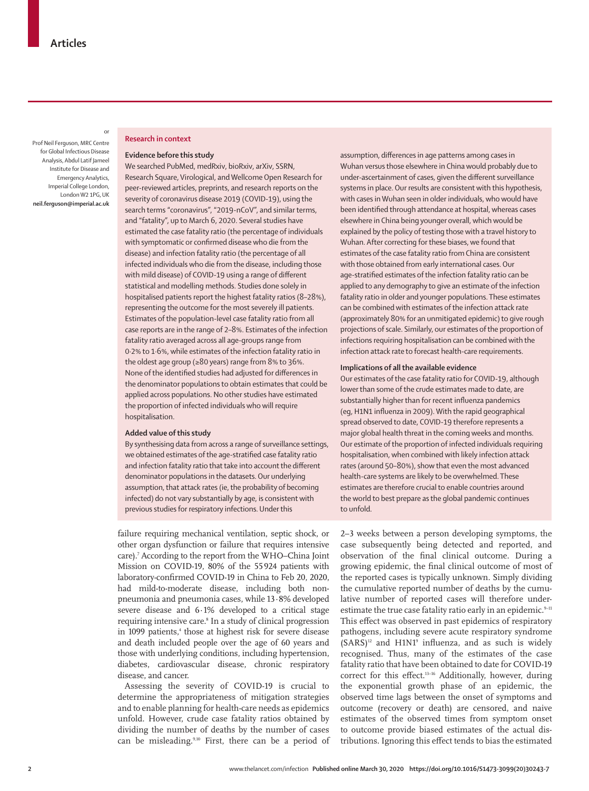Prof Neil Ferguson, MRC Centre for Global Infectious Disease Analysis, Abdul Latif Jameel Institute for Disease and Emergency Analytics, Imperial College London, London W2 1PG, UK **neil.ferguson@imperial.ac.uk**

or

## **Research in context**

## **Evidence before this study**

We searched PubMed, medRxiv, bioRxiv, arXiv, SSRN, Research Square, Virological, and Wellcome Open Research for peer-reviewed articles, preprints, and research reports on the severity of coronavirus disease 2019 (COVID-19), using the search terms "coronavirus", "2019-nCoV", and similar terms, and "fatality", up to March 6, 2020. Several studies have estimated the case fatality ratio (the percentage of individuals with symptomatic or confirmed disease who die from the disease) and infection fatality ratio (the percentage of all infected individuals who die from the disease, including those with mild disease) of COVID-19 using a range of different statistical and modelling methods. Studies done solely in hospitalised patients report the highest fatality ratios (8–28%), representing the outcome for the most severely ill patients. Estimates of the population-level case fatality ratio from all case reports are in the range of 2–8%. Estimates of the infection fatality ratio averaged across all age-groups range from 0·2% to 1·6%, while estimates of the infection fatality ratio in the oldest age group (≥80 years) range from 8% to 36%. None of the identified studies had adjusted for differences in the denominator populations to obtain estimates that could be applied across populations. No other studies have estimated the proportion of infected individuals who will require hospitalisation.

## **Added value of this study**

By synthesising data from across a range of surveillance settings, we obtained estimates of the age-stratified case fatality ratio and infection fatality ratio that take into account the different denominator populations in the datasets. Our underlying assumption, that attack rates (ie, the probability of becoming infected) do not vary substantially by age, is consistent with previous studies for respiratory infections. Under this

failure requiring mechanical ventilation, septic shock, or other organ dysfunction or failure that requires intensive care).<sup>7</sup> According to the report from the WHO–China Joint Mission on COVID-19, 80% of the 55924 patients with laboratory-confirmed COVID-19 in China to Feb 20, 2020, had mild-to-moderate disease, including both nonpneumonia and pneumonia cases, while 13·8% developed severe disease and 6·1% developed to a critical stage requiring intensive care.<sup>8</sup> In a study of clinical progression in 1099 patients,<sup>4</sup> those at highest risk for severe disease and death included people over the age of 60 years and those with underlying conditions, including hypertension, diabetes, cardiovascular disease, chronic respiratory disease, and cancer.

Assessing the severity of COVID-19 is crucial to determine the appropriateness of mitigation strategies and to enable planning for health-care needs as epidemics unfold. However, crude case fatality ratios obtained by dividing the number of deaths by the number of cases can be misleading. $9,10$  First, there can be a period of assumption, differences in age patterns among cases in Wuhan versus those elsewhere in China would probably due to under-ascertainment of cases, given the different surveillance systems in place. Our results are consistent with this hypothesis, with cases in Wuhan seen in older individuals, who would have been identified through attendance at hospital, whereas cases elsewhere in China being younger overall, which would be explained by the policy of testing those with a travel history to Wuhan. After correcting for these biases, we found that estimates of the case fatality ratio from China are consistent with those obtained from early international cases. Our age-stratified estimates of the infection fatality ratio can be applied to any demography to give an estimate of the infection fatality ratio in older and younger populations. These estimates can be combined with estimates of the infection attack rate (approximately 80% for an unmitigated epidemic) to give rough projections of scale. Similarly, our estimates of the proportion of infections requiring hospitalisation can be combined with the infection attack rate to forecast health-care requirements.

#### **Implications of all the available evidence**

Our estimates of the case fatality ratio for COVID-19, although lower than some of the crude estimates made to date, are substantially higher than for recent influenza pandemics (eg, H1N1 influenza in 2009). With the rapid geographical spread observed to date, COVID-19 therefore represents a major global health threat in the coming weeks and months. Our estimate of the proportion of infected individuals requiring hospitalisation, when combined with likely infection attack rates (around 50–80%), show that even the most advanced health-care systems are likely to be overwhelmed. These estimates are therefore crucial to enable countries around the world to best prepare as the global pandemic continues to unfold.

2–3 weeks between a person developing symptoms, the case subsequently being detected and reported, and observation of the final clinical outcome. During a growing epidemic, the final clinical outcome of most of the reported cases is typically unknown. Simply dividing the cumulative reported number of deaths by the cumulative number of reported cases will therefore underestimate the true case fatality ratio early in an epidemic.<sup>9-11</sup> This effect was observed in past epidemics of respiratory pathogens, including severe acute respiratory syndrome  $(SARS)^{12}$  and  $H1N1^{9}$  influenza, and as such is widely recognised. Thus, many of the estimates of the case fatality ratio that have been obtained to date for COVID-19 correct for this effect.13–16 Additionally, however, during the exponential growth phase of an epidemic, the observed time lags between the onset of symptoms and outcome (recovery or death) are censored, and naive estimates of the observed times from symptom onset to outcome provide biased estimates of the actual distributions. Ignoring this effect tends to bias the estimated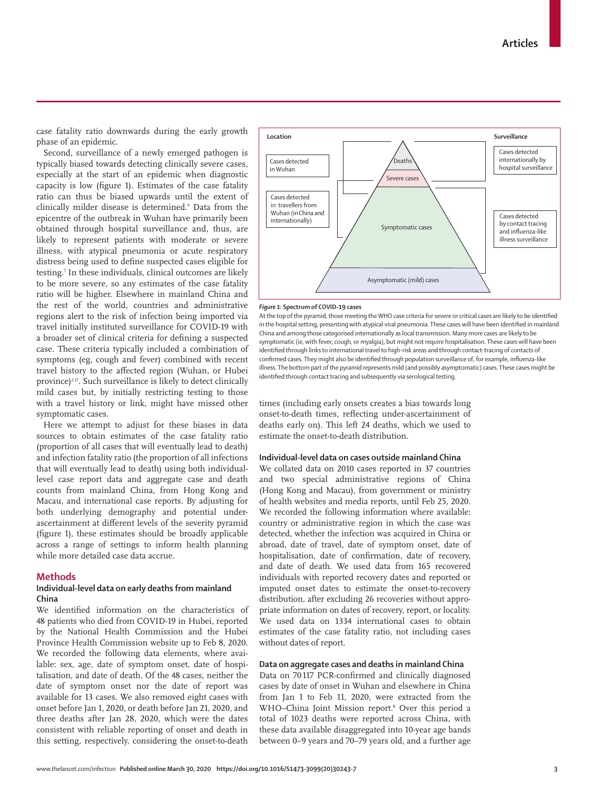case fatality ratio downwards during the early growth phase of an epidemic.

Second, surveillance of a newly emerged pathogen is typically biased towards detecting clinically severe cases, especially at the start of an epidemic when diagnostic capacity is low (figure 1). Estimates of the case fatality ratio can thus be biased upwards until the extent of clinically milder disease is determined.9 Data from the epicentre of the outbreak in Wuhan have primarily been obtained through hospital surveillance and, thus, are likely to represent patients with moderate or severe illness, with atypical pneumonia or acute respiratory distress being used to define suspected cases eligible for testing.7 In these individuals, clinical outcomes are likely to be more severe, so any estimates of the case fatality ratio will be higher. Elsewhere in mainland China and the rest of the world, countries and administrative regions alert to the risk of infection being imported via travel initially instituted surveillance for COVID-19 with a broader set of clinical criteria for defining a suspected case. These criteria typically included a combination of symptoms (eg, cough and fever) combined with recent travel history to the affected region (Wuhan, or Hubei province)<sup>2,17</sup>. Such surveillance is likely to detect clinically mild cases but, by initially restricting testing to those with a travel history or link, might have missed other symptomatic cases.

Here we attempt to adjust for these biases in data sources to obtain estimates of the case fatality ratio (proportion of all cases that will eventually lead to death) and infection fatality ratio (the proportion of all infections that will eventually lead to death) using both individuallevel case report data and aggregate case and death counts from mainland China, from Hong Kong and Macau, and international case reports. By adjusting for both underlying demography and potential underascertainment at different levels of the severity pyramid (figure 1), these estimates should be broadly applicable across a range of settings to inform health planning while more detailed case data accrue.

#### **Methods**

## **Individual-level data on early deaths from mainland China**

We identified information on the characteristics of 48 patients who died from COVID-19 in Hubei, reported by the National Health Commission and the Hubei Province Health Commission website up to Feb 8, 2020. We recorded the following data elements, where available: sex, age, date of symptom onset, date of hospitalisation, and date of death. Of the 48 cases, neither the date of symptom onset nor the date of report was available for 13 cases. We also removed eight cases with onset before Jan 1, 2020, or death before Jan 21, 2020, and three deaths after Jan 28, 2020, which were the dates consistent with reliable reporting of onset and death in this setting, respectively, considering the onset-to-death



#### *Figure 1:* **Spectrum of COVID-19 cases**

At the top of the pyramid, those meeting the WHO case criteria for severe or critical cases are likely to be identified in the hospital setting, presenting with atypical viral pneumonia. These cases will have been identified in mainland China and among those categorised internationally as local transmission. Many more cases are likely to be symptomatic (ie, with fever, cough, or myalgia), but might not require hospitalisation. These cases will have been identified through links to international travel to high-risk areas and through contact-tracing of contacts of confirmed cases. They might also be identified through population surveillance of, for example, influenza-like illness. The bottom part of the pyramid represents mild (and possibly asymptomatic) cases. These cases might be identified through contact tracing and subsequently via serological testing.

times (including early onsets creates a bias towards long onset-to-death times, reflecting under-ascertainment of deaths early on). This left 24 deaths, which we used to estimate the onset-to-death distribution.

## **Individual-level data on cases outside mainland China**

We collated data on 2010 cases reported in 37 countries and two special administrative regions of China (Hong Kong and Macau), from government or ministry of health websites and media reports, until Feb 25, 2020. We recorded the following information where available: country or administrative region in which the case was detected, whether the infection was acquired in China or abroad, date of travel, date of symptom onset, date of hospitalisation, date of confirmation, date of recovery, and date of death. We used data from 165 recovered individuals with reported recovery dates and reported or imputed onset dates to estimate the onset-to-recovery distribution, after excluding 26 recoveries without appropriate information on dates of recovery, report, or locality. We used data on 1334 international cases to obtain estimates of the case fatality ratio, not including cases without dates of report.

## **Data on aggregate cases and deaths in mainland China**

Data on 70 117 PCR-confirmed and clinically diagnosed cases by date of onset in Wuhan and elsewhere in China from Jan 1 to Feb 11, 2020, were extracted from the WHO–China Joint Mission report.<sup>8</sup> Over this period a total of 1023 deaths were reported across China, with these data available disaggregated into 10-year age bands between 0–9 years and 70–79 years old, and a further age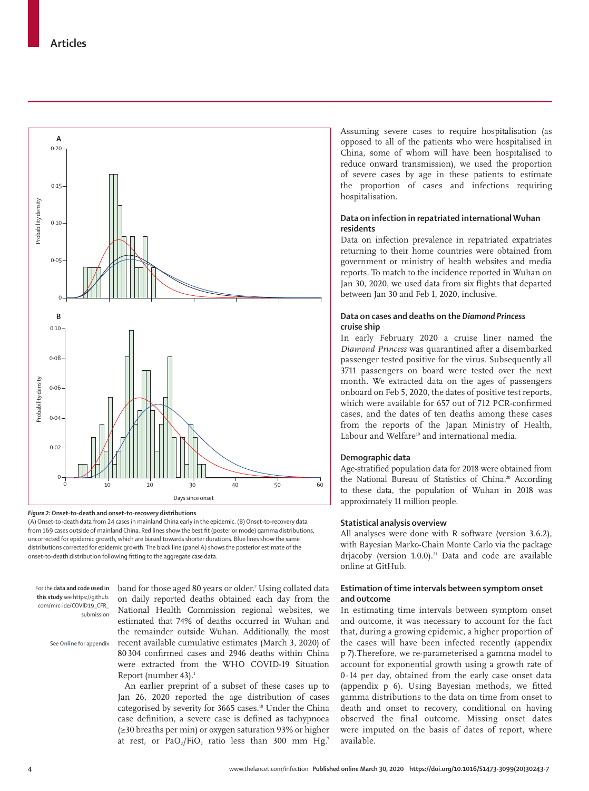

*Figure 2:* **Onset-to-death and onset-to-recovery distributions**

(A) Onset-to-death data from 24 cases in mainland China early in the epidemic. (B) Onset-to-recovery data from 169 cases outside of mainland China. Red lines show the best fit (posterior mode) gamma distributions, uncorrected for epidemic growth, which are biased towards shorter durations. Blue lines show the same distributions corrected for epidemic growth. The black line (panel A) shows the posterior estimate of the

For the d**ata and code used in this study** see [https://github.](https://github.com/mrc-ide/COVID19_CFR_submission) [com/mrc-ide/COVID19\\_CFR\\_](https://github.com/mrc-ide/COVID19_CFR_submission) [submission](https://github.com/mrc-ide/COVID19_CFR_submission)

See **Online** for appendix

band for those aged 80 years or older.<sup>7</sup> Using collated data on daily reported deaths obtained each day from the National Health Commission regional websites, we estimated that 74% of deaths occurred in Wuhan and the remainder outside Wuhan. Additionally, the most recent available cumulative estimates (March 3, 2020) of 80304 confirmed cases and 2946 deaths within China were extracted from the WHO COVID-19 Situation Report (number 43).<sup>1</sup>

An earlier preprint of a subset of these cases up to Jan 26, 2020 reported the age distribution of cases categorised by severity for 3665 cases.<sup>18</sup> Under the China case definition, a severe case is defined as tachypnoea (≥30 breaths per min) or oxygen saturation 93% or higher at rest, or PaO<sub>2</sub>/FiO<sub>2</sub> ratio less than 300 mm Hg.<sup>7</sup> Assuming severe cases to require hospitalisation (as opposed to all of the patients who were hospitalised in China, some of whom will have been hospitalised to reduce onward transmission), we used the proportion of severe cases by age in these patients to estimate the proportion of cases and infections requiring hospitalisation.

## **Data on infection in repatriated international Wuhan residents**

Data on infection prevalence in repatriated expatriates returning to their home countries were obtained from government or ministry of health websites and media reports. To match to the incidence reported in Wuhan on Jan 30, 2020, we used data from six flights that departed between Jan 30 and Feb 1, 2020, inclusive.

## **Data on cases and deaths on the** *Diamond Princess* **cruise ship**

In early February 2020 a cruise liner named the *Diamond Princess* was quarantined after a disembarked passenger tested positive for the virus. Subsequently all 3711 passengers on board were tested over the next month. We extracted data on the ages of passengers onboard on Feb 5, 2020, the dates of positive test reports, which were available for 657 out of 712 PCR-confirmed cases, and the dates of ten deaths among these cases from the reports of the Japan Ministry of Health, Labour and Welfare<sup>19</sup> and international media.

## **Demographic data**

Age-stratified population data for 2018 were obtained from the National Bureau of Statistics of China.<sup>20</sup> According to these data, the population of Wuhan in 2018 was approximately 11 million people.

#### **Statistical analysis overview**

All analyses were done with R software (version 3.6.2), with Bayesian Marko-Chain Monte Carlo via the package drjacoby (version 1.0.0).<sup>21</sup> [Data and code are available](https://github.com/mrc-ide/COVID19_CFR_submission) [online at GitHub.](https://github.com/mrc-ide/COVID19_CFR_submission)

## **Estimation of time intervals between symptom onset and outcome**

In estimating time intervals between symptom onset and outcome, it was necessary to account for the fact that, during a growing epidemic, a higher proportion of the cases will have been infected recently (appendix p 7).Therefore, we re-parameterised a gamma model to account for exponential growth using a growth rate of 0·14 per day, obtained from the early case onset data (appendix p 6). Using Bayesian methods, we fitted gamma distributions to the data on time from onset to death and onset to recovery, conditional on having observed the final outcome. Missing onset dates were imputed on the basis of dates of report, where available.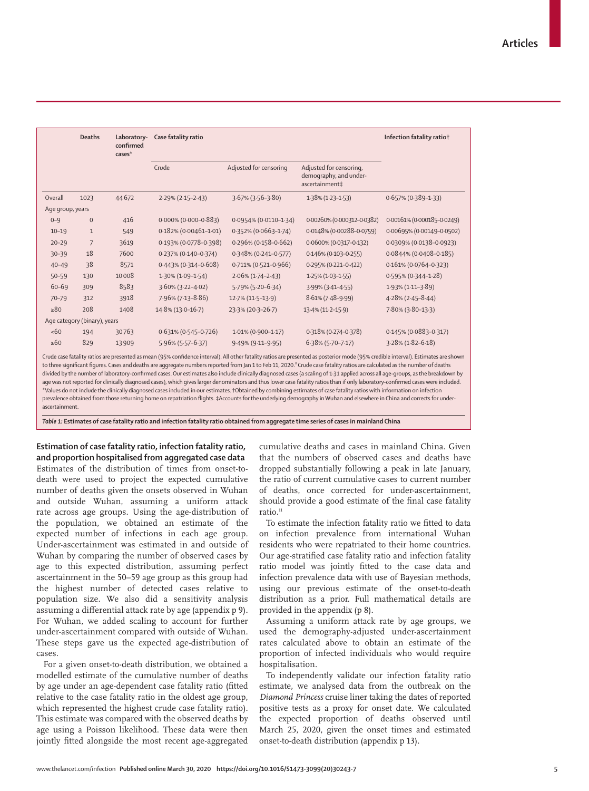|                              | <b>Deaths</b>  | Laboratory-<br>confirmed<br>$cases^*$ | Case fatality ratio                                                                                                                                                                                                                             |                          |                                                                                                                 | Infection fatality ratiot  |  |
|------------------------------|----------------|---------------------------------------|-------------------------------------------------------------------------------------------------------------------------------------------------------------------------------------------------------------------------------------------------|--------------------------|-----------------------------------------------------------------------------------------------------------------|----------------------------|--|
|                              |                |                                       | Crude                                                                                                                                                                                                                                           | Adjusted for censoring   | Adjusted for censoring,<br>demography, and under-<br>ascertainment‡                                             |                            |  |
| Overall                      | 1023           | 44672                                 | $2.29\% (2.15 - 2.43)$                                                                                                                                                                                                                          | $3.67\%$ (3.56-3.80)     | 1.38% (1.23-1.53)                                                                                               | $0.657\%$ (0.389-1.33)     |  |
| Age group, years             |                |                                       |                                                                                                                                                                                                                                                 |                          |                                                                                                                 |                            |  |
| $0 - 9$                      | $\mathbf 0$    | 416                                   | $0.000\%$ (0.000-0.883)                                                                                                                                                                                                                         | 0.0954% (0.0110-1.34)    | 0.00260% (0.000312-0.0382)                                                                                      | 0.00161% (0.000185-0.0249) |  |
| $10 - 19$                    | $\mathbf{1}$   | 549                                   | $0.182\%$ (0.00461-1.01)                                                                                                                                                                                                                        | 0.352% (0.0663-1.74)     | 0.0148% (0.00288-0.0759)                                                                                        | 0.00695% (0.00149-0.0502)  |  |
| $20 - 29$                    | $\overline{7}$ | 3619                                  | 0.193% (0.0778-0.398)                                                                                                                                                                                                                           | $0.296\%$ (0.158-0.662)  | 0.0600% (0.0317-0.132)                                                                                          | 0.0309% (0.0138-0.0923)    |  |
| $30 - 39$                    | 18             | 7600                                  | 0.237% (0.140-0.374)                                                                                                                                                                                                                            | $0.348\%$ (0.241-0.577)  | $0.146\%$ (0.103-0.255)                                                                                         | $0.0844\%$ (0.0408-0.185)  |  |
| $40 - 49$                    | 38             | 8571                                  | $0.443\%$ (0.314-0.608)                                                                                                                                                                                                                         | $0.711\%$ (0.521-0.966)  | 0.295% (0.221-0.422)                                                                                            | $0.161\%$ (0.0764-0.323)   |  |
| $50 - 59$                    | 130            | 10008                                 | $1.30\%$ (1.09-1.54)                                                                                                                                                                                                                            | $2.06\%$ (1.74-2.43)     | 1.25% (1.03-1.55)                                                                                               | 0.595% (0.344-1.28)        |  |
| $60 - 69$                    | 309            | 8583                                  | $3.60\%$ (3.22-4.02)                                                                                                                                                                                                                            | $5.79\%$ ( $5.20-6.34$ ) | 3.99% (3.41-4.55)                                                                                               | $1.93\%$ (1.11-3.89)       |  |
| $70 - 79$                    | 312            | 3918                                  | $7.96\%$ (7.13-8.86)                                                                                                                                                                                                                            | 12.7% (11.5-13.9)        | 8.61% (7.48-9.99)                                                                                               | $4.28\%$ (2 $.45 - 8.44$ ) |  |
| $\geq 80$                    | 208            | 1408                                  | $14.8\%$ (13.0-16.7)                                                                                                                                                                                                                            | 23.3% (20.3-26.7)        | 13.4% (11.2-15.9)                                                                                               | $7.80\%$ (3.80-13.3)       |  |
| Age category (binary), years |                |                                       |                                                                                                                                                                                                                                                 |                          |                                                                                                                 |                            |  |
| <60                          | 194            | 30763                                 | 0.631% (0.545-0.726)                                                                                                                                                                                                                            | $1.01\% (0.900 - 1.17)$  | 0.318% (0.274-0.378)                                                                                            | $0.145\%$ (0.0883-0.317)   |  |
| $\geq 60$                    | 829            | 13909                                 | $5.96\%$ (5.57-6.37)                                                                                                                                                                                                                            | $9.49\%$ (9.11-9.95)     | $6.38\%$ (5.70-7.17)                                                                                            | $3.28\%$ (1.82-6.18)       |  |
|                              |                |                                       | $\mathbf{r} = \mathbf{r} \cdot \mathbf{r}$ . The set of the set of the set of the set of the set of the set of the set of the set of the set of the set of the set of the set of the set of the set of the set of the set of the set of the set |                          | the contract of the contract of the contract of the contract of the contract of the contract of the contract of |                            |  |

Crude case fatality ratios are presented as mean (95% confidence interval). All other fatality ratios are presented as posterior mode (95% credible interval). Estimates are shown to three significant figures. Cases and deaths are aggregate numbers reported from Jan 1 to Feb 11, 2020.<sup>8</sup> Crude case fatality ratios are calculated as the number of deaths divided by the number of laboratory-confirmed cases. Our estimates also include clinically diagnosed cases (a scaling of 1·31 applied across all age-groups, as the breakdown by age was not reported for clinically diagnosed cases), which gives larger denominators and thus lower case fatality ratios than if only laboratory-confirmed cases were included. \*Values do not include the clinically diagnosed cases included in our estimates. †Obtained by combining estimates of case fatality ratios with information on infection prevalence obtained from those returning home on repatriation flights. ‡Accounts for the underlying demography in Wuhan and elsewhere in China and corrects for underascertainment.

*Table 1:* **Estimates of case fatality ratio and infection fatality ratio obtained from aggregate time series of cases in mainland China**

## **Estimation of case fatality ratio, infection fatality ratio, and proportion hospitalised from aggregated case data**

Estimates of the distribution of times from onset-todeath were used to project the expected cumulative number of deaths given the onsets observed in Wuhan and outside Wuhan, assuming a uniform attack rate across age groups. Using the age-distribution of the population, we obtained an estimate of the expected number of infections in each age group. Under-ascertainment was estimated in and outside of Wuhan by comparing the number of observed cases by age to this expected distribution, assuming perfect ascertainment in the 50–59 age group as this group had the highest number of detected cases relative to population size. We also did a sensitivity analysis assuming a differential attack rate by age (appendix p 9). For Wuhan, we added scaling to account for further under-ascertainment compared with outside of Wuhan. These steps gave us the expected age-distribution of cases.

For a given onset-to-death distribution, we obtained a modelled estimate of the cumulative number of deaths by age under an age-dependent case fatality ratio (fitted relative to the case fatality ratio in the oldest age group, which represented the highest crude case fatality ratio). This estimate was compared with the observed deaths by age using a Poisson likelihood. These data were then jointly fitted alongside the most recent age-aggregated cumulative deaths and cases in mainland China. Given that the numbers of observed cases and deaths have dropped substantially following a peak in late January, the ratio of current cumulative cases to current number of deaths, once corrected for under-ascertainment, should provide a good estimate of the final case fatality ratio.<sup>11</sup>

To estimate the infection fatality ratio we fitted to data on infection prevalence from international Wuhan residents who were repatriated to their home countries. Our age-stratified case fatality ratio and infection fatality ratio model was jointly fitted to the case data and infection prevalence data with use of Bayesian methods, using our previous estimate of the onset-to-death distribution as a prior. Full mathematical details are provided in the appendix (p 8).

Assuming a uniform attack rate by age groups, we used the demography-adjusted under-ascertainment rates calculated above to obtain an estimate of the proportion of infected individuals who would require hospitalisation.

To independently validate our infection fatality ratio estimate, we analysed data from the outbreak on the *Diamond Princess* cruise liner taking the dates of reported positive tests as a proxy for onset date. We calculated the expected proportion of deaths observed until March 25, 2020, given the onset times and estimated onset-to-death distribution (appendix p 13).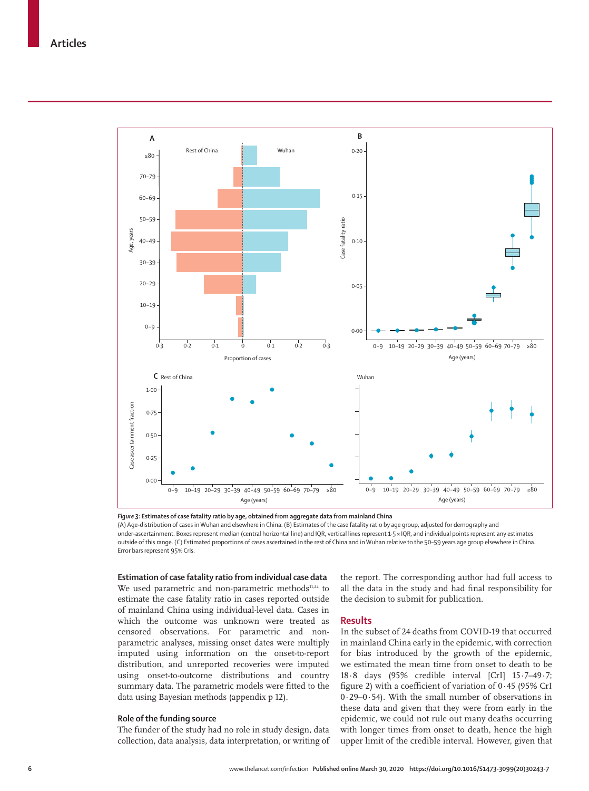

*Figure 3:* **Estimates of case fatality ratio by age, obtained from aggregate data from mainland China** (A) Age-distribution of cases in Wuhan and elsewhere in China. (B) Estimates of the case fatality ratio by age group, adjusted for demography and under-ascertainment. Boxes represent median (central horizontal line) and IQR, vertical lines represent 1·5 × IQR, and individual points represent any estimates outside of this range. (C) Estimated proportions of cases ascertained in the rest of China and in Wuhan relative to the 50–59 years age group elsewhere in China. Error bars represent 95% CrIs.

**Estimation of case fatality ratio from individual case data** We used parametric and non-parametric methods<sup>11,22</sup> to estimate the case fatality ratio in cases reported outside of mainland China using individual-level data. Cases in which the outcome was unknown were treated as censored observations. For parametric and nonparametric analyses, missing onset dates were multiply imputed using information on the onset-to-report distribution, and unreported recoveries were imputed using onset-to-outcome distributions and country summary data. The parametric models were fitted to the data using Bayesian methods (appendix p 12).

## **Role of the funding source**

The funder of the study had no role in study design, data collection, data analysis, data interpretation, or writing of

the report. The corresponding author had full access to all the data in the study and had final responsibility for the decision to submit for publication.

## **Results**

In the subset of 24 deaths from COVID-19 that occurred in mainland China early in the epidemic, with correction for bias introduced by the growth of the epidemic, we estimated the mean time from onset to death to be 18·8 days (95% credible interval [CrI] 15·7–49·7; figure 2) with a coefficient of variation of 0·45 (95% CrI 0·29–0·54). With the small number of observations in these data and given that they were from early in the epidemic, we could not rule out many deaths occurring with longer times from onset to death, hence the high upper limit of the credible interval. However, given that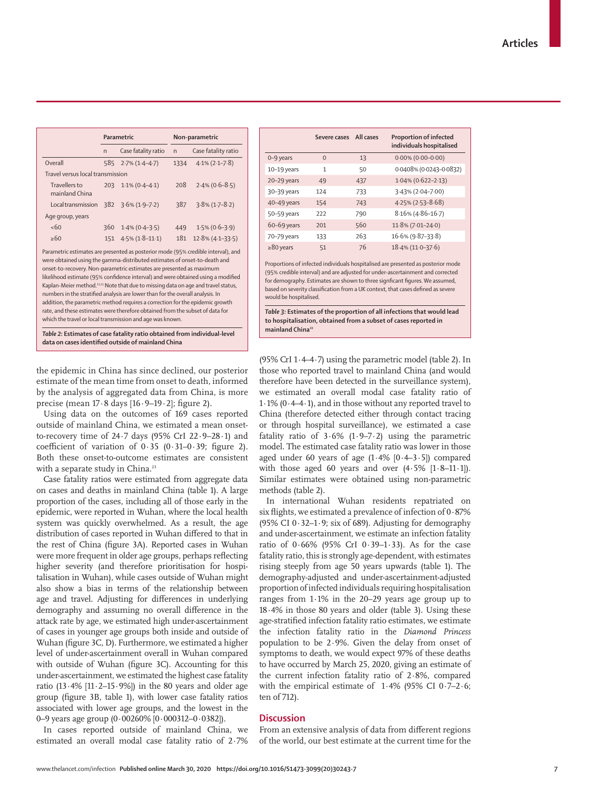|                                  | Parametric   |                           | Non-parametric |                       |  |  |
|----------------------------------|--------------|---------------------------|----------------|-----------------------|--|--|
|                                  | $\mathsf{r}$ | Case fatality ratio       | $\mathsf{n}$   | Case fatality ratio   |  |  |
| Overall                          |              | $585$ $2.7\%$ $(1.4-4.7)$ | 1334           | $4.1\%$ (2.1–7.8)     |  |  |
| Travel versus local transmission |              |                           |                |                       |  |  |
| Travellers to<br>mainland China  | 203          | $1.1\% (0.4 - 4.1)$       | 208            | $2.4\%$ (0.6-8.5)     |  |  |
| Local transmission               |              | $382$ $3.6\%$ (1.9–7.2)   | 387            | $3.8\%$ (1.7-8.2)     |  |  |
| Age group, years                 |              |                           |                |                       |  |  |
| 560                              | 360          | $1.4\%$ (0.4-3.5)         | 449            | $1.5\%$ (0.6-3.9)     |  |  |
| >60                              | 151          | $4.5\%$ (1.8–11.1)        | 181            | $12.8\% (4.1 - 33.5)$ |  |  |

Parametric estimates are presented as posterior mode (95% credible interval), and were obtained using the gamma-distributed estimates of onset-to-death and onset-to-recovery. Non-parametric estimates are presented as maximum likelihood estimate (95% confidence interval) and were obtained using a modified Kaplan-Meier method.11,23 Note that due to missing data on age and travel status, numbers in the stratified analysis are lower than for the overall analysis. In addition, the parametric method requires a correction for the epidemic growth rate, and these estimates were therefore obtained from the subset of data for which the travel or local transmission and age was known.

*Table 2:* **Estimates of case fatality ratio obtained from individual-level data on cases identified outside of mainland China**

the epidemic in China has since declined, our posterior estimate of the mean time from onset to death, informed by the analysis of aggregated data from China, is more precise (mean 17·8 days [16·9–19·2]; figure 2).

Using data on the outcomes of 169 cases reported outside of mainland China, we estimated a mean onsetto-recovery time of 24·7 days (95% CrI 22·9–28·1) and coefficient of variation of  $0.35$  ( $0.31-0.39$ ; figure 2). Both these onset-to-outcome estimates are consistent with a separate study in China.<sup>23</sup>

Case fatality ratios were estimated from aggregate data on cases and deaths in mainland China (table 1). A large proportion of the cases, including all of those early in the epidemic, were reported in Wuhan, where the local health system was quickly overwhelmed. As a result, the age distribution of cases reported in Wuhan differed to that in the rest of China (figure 3A). Reported cases in Wuhan were more frequent in older age groups, perhaps reflecting higher severity (and therefore prioritisation for hospitalisation in Wuhan), while cases outside of Wuhan might also show a bias in terms of the relationship between age and travel. Adjusting for differences in underlying demography and assuming no overall difference in the attack rate by age, we estimated high under-ascertainment of cases in younger age groups both inside and outside of Wuhan (figure 3C, D). Furthermore, we estimated a higher level of under-ascertainment overall in Wuhan compared with outside of Wuhan (figure 3C). Accounting for this under-ascertainment, we estimated the highest case fatality ratio  $(13.4\%$   $[11.2-15.9\%]$  in the 80 years and older age group (figure 3B, table 1), with lower case fatality ratios associated with lower age groups, and the lowest in the 0–9 years age group (0·00260% [0·000312–0·0382]).

In cases reported outside of mainland China, we estimated an overall modal case fatality ratio of 2·7%

|                 | Severe cases | All cases | Proportion of infected<br>individuals hospitalised |
|-----------------|--------------|-----------|----------------------------------------------------|
| 0-9 years       | $\Omega$     | 13        | $0.00\%$ (0.00-0.00)                               |
| $10-19$ years   | 1            | 50        | 0.0408% (0.0243-0.0832)                            |
| 20-29 years     | 49           | 437       | $1.04\%$ (0.622-2.13)                              |
| 30-39 years     | 124          | 733       | $3.43\%$ (2.04-7.00)                               |
| 40-49 years     | 154          | 743       | $4.25\%$ (2 $-53-8.68$ )                           |
| 50-59 years     | 222          | 790       | $8.16\%$ (4.86-16.7)                               |
| $60-69$ years   | 201          | 560       | $11.8\% (7.01 - 24.0)$                             |
| 70-79 years     | 133          | 263       | $16.6\%$ (9.87-33.8)                               |
| $\geq 80$ years | 51           | 76        | $18.4\%$ (11.0-37.6)                               |

Proportions of infected individuals hospitalised are presented as posterior mode (95% credible interval) and are adjusted for under-ascertainment and corrected for demography. Estimates are shown to three signficant figures. We assumed, based on severity classification from a UK context, that cases defined as severe would be hospitalised.

*Table 3:* **Estimates of the proportion of all infections that would lead to hospitalisation, obtained from a subset of cases reported in**  mainland China<sup>22</sup>

(95% CrI 1·4–4·7) using the parametric model (table 2). In those who reported travel to mainland China (and would therefore have been detected in the surveillance system), we estimated an overall modal case fatality ratio of 1·1% (0·4–4·1), and in those without any reported travel to China (therefore detected either through contact tracing or through hospital surveillance), we estimated a case fatality ratio of  $3.6\%$  (1.9–7.2) using the parametric model. The estimated case fatality ratio was lower in those aged under 60 years of age  $(1.4\%$   $[0.4-3.5])$  compared with those aged 60 years and over  $(4.5\%$   $[1.8-11.1]$ ). Similar estimates were obtained using non-parametric methods (table 2).

In international Wuhan residents repatriated on six flights, we estimated a prevalence of infection of 0·87% (95% CI 0·32–1·9; six of 689). Adjusting for demography and under-ascertainment, we estimate an infection fatality ratio of 0·66% (95% CrI 0·39–1·33). As for the case fatality ratio, this is strongly age-dependent, with estimates rising steeply from age 50 years upwards (table 1). The demography-adjusted and under-ascertainment-adjusted proportion of infected individuals requiring hospitalisation ranges from 1·1% in the 20–29 years age group up to 18·4% in those 80 years and older (table 3). Using these age-stratified infection fatality ratio estimates, we estimate the infection fatality ratio in the *Diamond Princess* population to be 2·9%. Given the delay from onset of symptoms to death, we would expect 97% of these deaths to have occurred by March 25, 2020, giving an estimate of the current infection fatality ratio of 2·8%, compared with the empirical estimate of  $1.4\%$  (95% CI 0.7–2.6; ten of 712).

# **Discussion**

From an extensive analysis of data from different regions of the world, our best estimate at the current time for the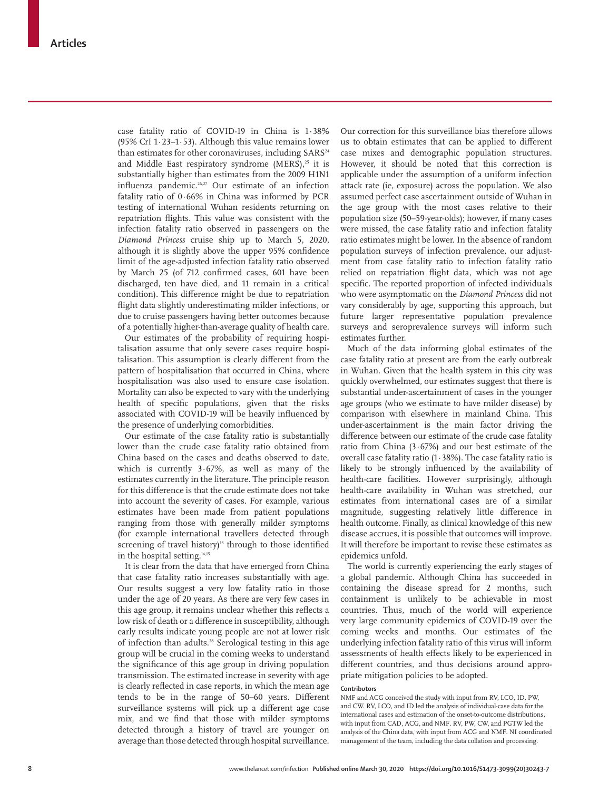case fatality ratio of COVID-19 in China is 1·38% (95% CrI 1·23–1·53). Although this value remains lower than estimates for other coronaviruses, including SARS<sup>24</sup> and Middle East respiratory syndrome (MERS), $25$  it is substantially higher than estimates from the 2009 H1N1 influenza pandemic.26,27 Our estimate of an infection fatality ratio of 0·66% in China was informed by PCR testing of international Wuhan residents returning on repatriation flights. This value was consistent with the infection fatality ratio observed in passengers on the *Diamond Princess* cruise ship up to March 5, 2020, although it is slightly above the upper 95% confidence limit of the age-adjusted infection fatality ratio observed by March 25 (of 712 confirmed cases, 601 have been discharged, ten have died, and 11 remain in a critical condition). This difference might be due to repatriation flight data slightly underestimating milder infections, or due to cruise passengers having better outcomes because of a potentially higher-than-average quality of health care.

Our estimates of the probability of requiring hospitalisation assume that only severe cases require hospitalisation. This assumption is clearly different from the pattern of hospitalisation that occurred in China, where hospitalisation was also used to ensure case isolation. Mortality can also be expected to vary with the underlying health of specific populations, given that the risks associated with COVID-19 will be heavily influenced by the presence of underlying comorbidities.

Our estimate of the case fatality ratio is substantially lower than the crude case fatality ratio obtained from China based on the cases and deaths observed to date, which is currently 3·67%, as well as many of the estimates currently in the literature. The principle reason for this difference is that the crude estimate does not take into account the severity of cases. For example, various estimates have been made from patient populations ranging from those with generally milder symptoms (for example international travellers detected through screening of travel history)<sup>13</sup> through to those identified in the hospital setting.<sup>14,15</sup>

It is clear from the data that have emerged from China that case fatality ratio increases substantially with age. Our results suggest a very low fatality ratio in those under the age of 20 years. As there are very few cases in this age group, it remains unclear whether this reflects a low risk of death or a difference in susceptibility, although early results indicate young people are not at lower risk of infection than adults.<sup>28</sup> Serological testing in this age group will be crucial in the coming weeks to understand the significance of this age group in driving population transmission. The estimated increase in severity with age is clearly reflected in case reports, in which the mean age tends to be in the range of 50–60 years. Different surveillance systems will pick up a different age case mix, and we find that those with milder symptoms detected through a history of travel are younger on average than those detected through hospital surveillance.

Our correction for this surveillance bias therefore allows us to obtain estimates that can be applied to different case mixes and demographic population structures. However, it should be noted that this correction is applicable under the assumption of a uniform infection attack rate (ie, exposure) across the population. We also assumed perfect case ascertainment outside of Wuhan in the age group with the most cases relative to their population size (50–59-year-olds); however, if many cases were missed, the case fatality ratio and infection fatality ratio estimates might be lower. In the absence of random population surveys of infection prevalence, our adjustment from case fatality ratio to infection fatality ratio relied on repatriation flight data, which was not age specific. The reported proportion of infected individuals who were asymptomatic on the *Diamond Princess* did not vary considerably by age, supporting this approach, but future larger representative population prevalence surveys and seroprevalence surveys will inform such estimates further.

Much of the data informing global estimates of the case fatality ratio at present are from the early outbreak in Wuhan. Given that the health system in this city was quickly overwhelmed, our estimates suggest that there is substantial under-ascertainment of cases in the younger age groups (who we estimate to have milder disease) by comparison with elsewhere in mainland China. This under-ascertainment is the main factor driving the difference between our estimate of the crude case fatality ratio from China  $(3.67%)$  and our best estimate of the overall case fatality ratio (1·38%). The case fatality ratio is likely to be strongly influenced by the availability of health-care facilities. However surprisingly, although health-care availability in Wuhan was stretched, our estimates from international cases are of a similar magnitude, suggesting relatively little difference in health outcome. Finally, as clinical knowledge of this new disease accrues, it is possible that outcomes will improve. It will therefore be important to revise these estimates as epidemics unfold.

The world is currently experiencing the early stages of a global pandemic. Although China has succeeded in containing the disease spread for 2 months, such containment is unlikely to be achievable in most countries. Thus, much of the world will experience very large community epidemics of COVID-19 over the coming weeks and months. Our estimates of the underlying infection fatality ratio of this virus will inform assessments of health effects likely to be experienced in different countries, and thus decisions around appropriate mitigation policies to be adopted.

#### **Contributors**

NMF and ACG conceived the study with input from RV, LCO, ID, PW, and CW. RV, LCO, and ID led the analysis of individual-case data for the international cases and estimation of the onset-to-outcome distributions, with input from CAD, ACG, and NMF. RV, PW, CW, and PGTW led the analysis of the China data, with input from ACG and NMF. NI coordinated management of the team, including the data collation and processing.